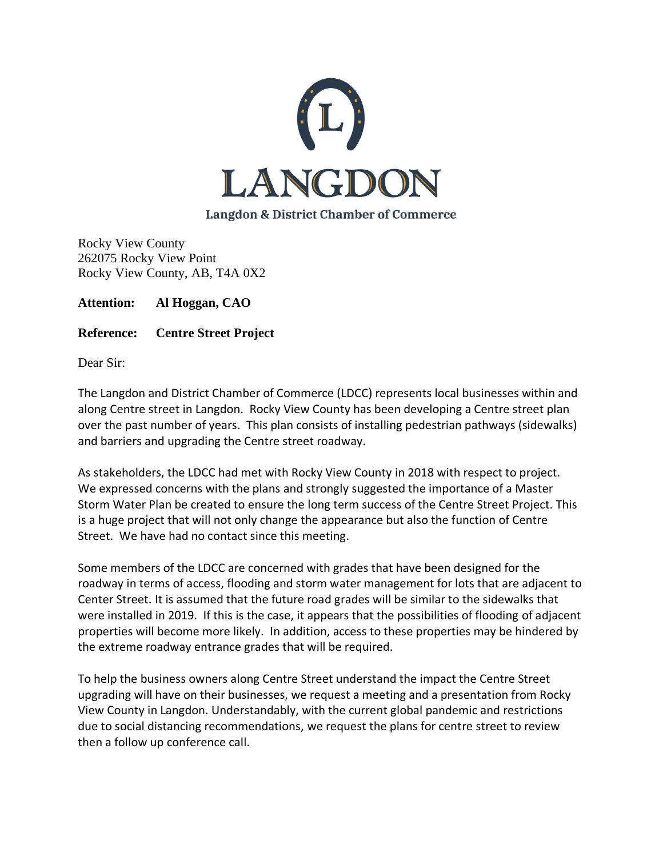

Rocky View County 262075 Rocky View Point Rocky View County, AB, T4A 0X2

**Attention: Al Hoggan, CAO**

**Reference: Centre Street Project**

Dear Sir:

The Langdon and District Chamber of Commerce (LDCC) represents local businesses within and along Centre street in Langdon. Rocky View County has been developing a Centre street plan over the past number of years. This plan consists of installing pedestrian pathways (sidewalks) and barriers and upgrading the Centre street roadway.

As stakeholders, the LDCC had met with Rocky View County in 2018 with respect to project. We expressed concerns with the plans and strongly suggested the importance of a Master Storm Water Plan be created to ensure the long term success of the Centre Street Project. This is a huge project that will not only change the appearance but also the function of Centre Street. We have had no contact since this meeting.

Some members of the LDCC are concerned with grades that have been designed for the roadway in terms of access, flooding and storm water management for lots that are adjacent to Center Street. It is assumed that the future road grades will be similar to the sidewalks that were installed in 2019. If this is the case, it appears that the possibilities of flooding of adjacent properties will become more likely. In addition, access to these properties may be hindered by the extreme roadway entrance grades that will be required.

To help the business owners along Centre Street understand the impact the Centre Street upgrading will have on their businesses, we request a meeting and a presentation from Rocky View County in Langdon. Understandably, with the current global pandemic and restrictions due to social distancing recommendations, we request the plans for centre street to review then a follow up conference call.